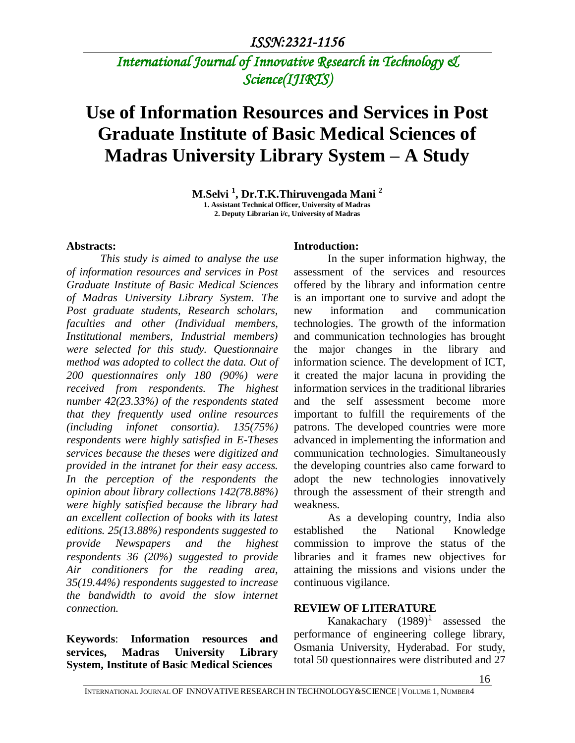# *International Journal of Innovative Research in Technology & Science(IJIRTS)*

# **Use of Information Resources and Services in Post Graduate Institute of Basic Medical Sciences of Madras University Library System – A Study**

**M.Selvi <sup>1</sup> , Dr.T.K.Thiruvengada Mani <sup>2</sup>**

**1. Assistant Technical Officer, University of Madras 2. Deputy Librarian i/c, University of Madras**

#### **Abstracts:**

*This study is aimed to analyse the use of information resources and services in Post Graduate Institute of Basic Medical Sciences of Madras University Library System. The Post graduate students, Research scholars, faculties and other (Individual members, Institutional members, Industrial members) were selected for this study. Questionnaire method was adopted to collect the data. Out of 200 questionnaires only 180 (90%) were received from respondents. The highest number 42(23.33%) of the respondents stated that they frequently used online resources (including infonet consortia). 135(75%) respondents were highly satisfied in E-Theses services because the theses were digitized and provided in the intranet for their easy access. In the perception of the respondents the opinion about library collections 142(78.88%) were highly satisfied because the library had an excellent collection of books with its latest editions. 25(13.88%) respondents suggested to provide Newspapers and the highest respondents 36 (20%) suggested to provide Air conditioners for the reading area, 35(19.44%) respondents suggested to increase the bandwidth to avoid the slow internet connection.*

**Keywords**: **Information resources and services, Madras University Library System, Institute of Basic Medical Sciences**

#### **Introduction:**

In the super information highway, the assessment of the services and resources offered by the library and information centre is an important one to survive and adopt the new information and communication technologies. The growth of the information and communication technologies has brought the major changes in the library and information science. The development of ICT, it created the major lacuna in providing the information services in the traditional libraries and the self assessment become more important to fulfill the requirements of the patrons. The developed countries were more advanced in implementing the information and communication technologies. Simultaneously the developing countries also came forward to adopt the new technologies innovatively through the assessment of their strength and weakness.

As a developing country, India also established the National Knowledge commission to improve the status of the libraries and it frames new objectives for attaining the missions and visions under the continuous vigilance.

#### **REVIEW OF LITERATURE**

Kanakachary  $(1989)^{\frac{1}{2}}$  assessed the performance of engineering college library, Osmania University, Hyderabad. For study, total 50 questionnaires were distributed and 27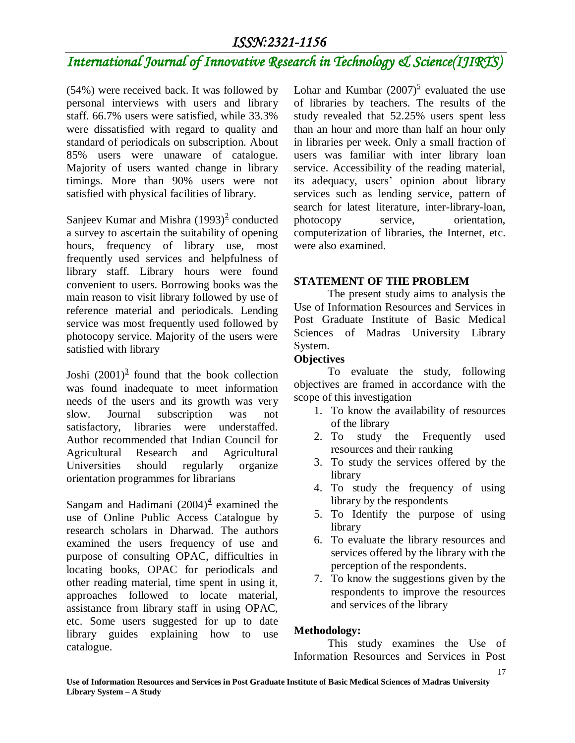# *International Journal of Innovative Research in Technology & Science(IJIRTS)*

(54%) were received back. It was followed by personal interviews with users and library staff. 66.7% users were satisfied, while 33.3% were dissatisfied with regard to quality and standard of periodicals on subscription. About 85% users were unaware of catalogue. Majority of users wanted change in library timings. More than 90% users were not satisfied with physical facilities of library.

Sanjeev Kumar and Mishra  $(1993)^2$  conducted a survey to ascertain the suitability of opening hours, frequency of library use, most frequently used services and helpfulness of library staff. Library hours were found convenient to users. Borrowing books was the main reason to visit library followed by use of reference material and periodicals. Lending service was most frequently used followed by photocopy service. Majority of the users were satisfied with library

Joshi  $(2001)^3$  found that the book collection was found inadequate to meet information needs of the users and its growth was very slow. Journal subscription was not satisfactory, libraries were understaffed. Author recommended that Indian Council for Agricultural Research and Agricultural Universities should regularly organize orientation programmes for librarians

Sangam and Hadimani  $(2004)^4$  examined the use of Online Public Access Catalogue by research scholars in Dharwad. The authors examined the users frequency of use and purpose of consulting OPAC, difficulties in locating books, OPAC for periodicals and other reading material, time spent in using it, approaches followed to locate material, assistance from library staff in using OPAC, etc. Some users suggested for up to date library guides explaining how to use catalogue.

Lohar and Kumbar  $(2007)^5$  evaluated the use of libraries by teachers. The results of the study revealed that 52.25% users spent less than an hour and more than half an hour only in libraries per week. Only a small fraction of users was familiar with inter library loan service. Accessibility of the reading material, its adequacy, users' opinion about library services such as lending service, pattern of search for latest literature, inter-library-loan, photocopy service, orientation, computerization of libraries, the Internet, etc. were also examined.

## **STATEMENT OF THE PROBLEM**

The present study aims to analysis the Use of Information Resources and Services in Post Graduate Institute of Basic Medical Sciences of Madras University Library System.

## **Objectives**

To evaluate the study, following objectives are framed in accordance with the scope of this investigation

- 1. To know the availability of resources of the library
- 2. To study the Frequently used resources and their ranking
- 3. To study the services offered by the library
- 4. To study the frequency of using library by the respondents
- 5. To Identify the purpose of using library
- 6. To evaluate the library resources and services offered by the library with the perception of the respondents.
- 7. To know the suggestions given by the respondents to improve the resources and services of the library

## **Methodology:**

This study examines the Use of Information Resources and Services in Post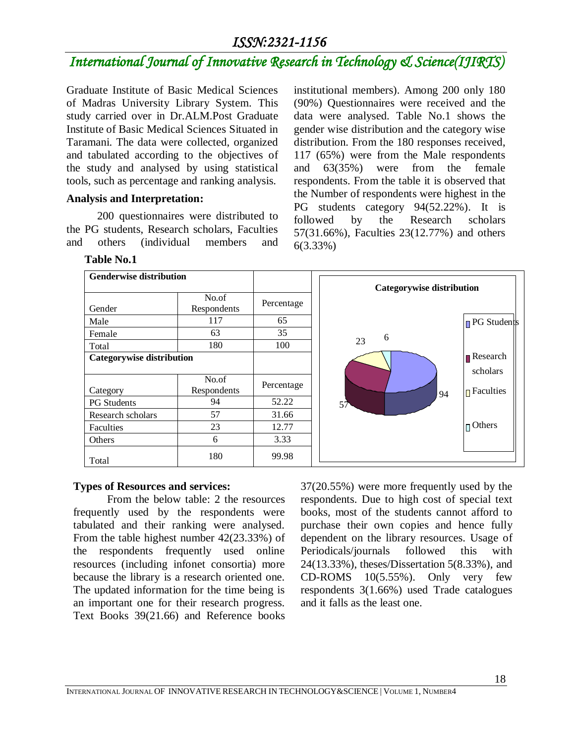# *International Journal of Innovative Research in Technology & Science(IJIRTS)*

Graduate Institute of Basic Medical Sciences of Madras University Library System. This study carried over in Dr.ALM.Post Graduate Institute of Basic Medical Sciences Situated in Taramani. The data were collected, organized and tabulated according to the objectives of the study and analysed by using statistical tools, such as percentage and ranking analysis.

### **Analysis and Interpretation:**

**Table No.1**

 200 questionnaires were distributed to the PG students, Research scholars, Faculties and others (individual members and institutional members). Among 200 only 180 (90%) Questionnaires were received and the data were analysed. Table No.1 shows the gender wise distribution and the category wise distribution. From the 180 responses received, 117 (65%) were from the Male respondents and 63(35%) were from the female respondents. From the table it is observed that the Number of respondents were highest in the PG students category 94(52.22%). It is followed by the Research scholars 57(31.66%), Faculties 23(12.77%) and others 6(3.33%)

#### **Genderwise distribution** Gender No.of Respondents Percentage Male 117 65 Female 63 35 Total 180 100 **Categorywise distribution Category** No.of Respondents Percentage



## **Types of Resources and services:**

From the below table: 2 the resources frequently used by the respondents were tabulated and their ranking were analysed. From the table highest number 42(23.33%) of the respondents frequently used online resources (including infonet consortia) more because the library is a research oriented one. The updated information for the time being is an important one for their research progress. Text Books 39(21.66) and Reference books

PG Students 194 52.22 Research scholars 1 57 31.66 Faculties 23 12.77 Others 6 3.33

Total 180 99.98

37(20.55%) were more frequently used by the respondents. Due to high cost of special text books, most of the students cannot afford to purchase their own copies and hence fully dependent on the library resources. Usage of Periodicals/journals followed this with 24(13.33%), theses/Dissertation 5(8.33%), and CD-ROMS 10(5.55%). Only very few respondents 3(1.66%) used Trade catalogues and it falls as the least one.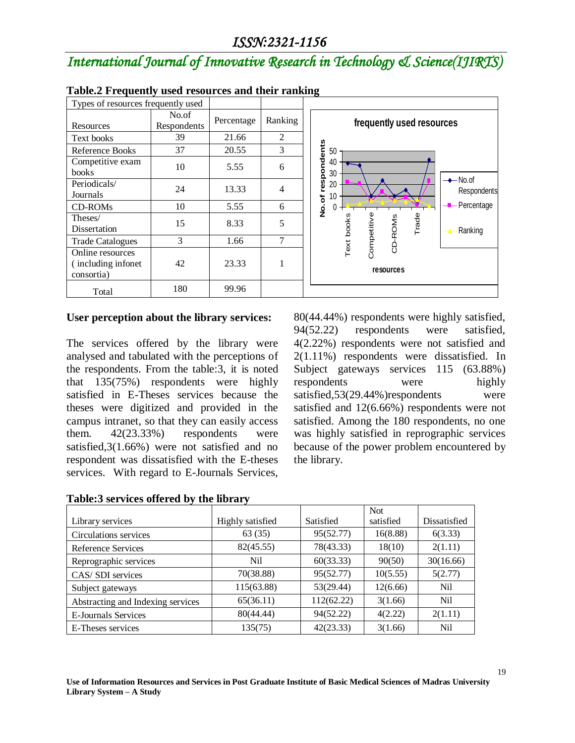# *International Journal of Innovative Research in Technology & Science(IJIRTS)*

| Types of resources frequently used                    |                      |            |                |                                                                           |  |
|-------------------------------------------------------|----------------------|------------|----------------|---------------------------------------------------------------------------|--|
| Resources                                             | No.of<br>Respondents | Percentage | Ranking        | frequently used resources                                                 |  |
| Text books                                            | 39                   | 21.66      | 2              |                                                                           |  |
| Reference Books                                       | 37                   | 20.55      | 3              | 50                                                                        |  |
| Competitive exam<br><b>books</b>                      | 10                   | 5.55       | 6              | respondents<br>40<br>30                                                   |  |
| Periodicals/<br>Journals                              | 24                   | 13.33      | 4              | $\rightarrow$ No.of<br>20<br>Respondents<br>10<br>৳                       |  |
| <b>CD-ROMs</b>                                        | 10                   | 5.55       | 6              | Percentage<br>š                                                           |  |
| Theses/<br>Dissertation                               | 15                   | 8.33       | 5              | Trade<br>Competitive<br>Text books<br>CD-ROMS<br>Ranking<br>$\rightarrow$ |  |
| <b>Trade Catalogues</b>                               | 3                    | 1.66       | $\overline{7}$ |                                                                           |  |
| Online resources<br>(including infonet)<br>consortia) | 42                   | 23.33      |                | resources                                                                 |  |
| Total                                                 | 180                  | 99.96      |                |                                                                           |  |

### **Table.2 Frequently used resources and their ranking**

### **User perception about the library services:**

The services offered by the library were analysed and tabulated with the perceptions of the respondents. From the table:3, it is noted that 135(75%) respondents were highly satisfied in E-Theses services because the theses were digitized and provided in the campus intranet, so that they can easily access them. 42(23.33%) respondents were satisfied,3(1.66%) were not satisfied and no respondent was dissatisfied with the E-theses services. With regard to E-Journals Services, 80(44.44%) respondents were highly satisfied, 94(52.22) respondents were satisfied, 4(2.22%) respondents were not satisfied and 2(1.11%) respondents were dissatisfied. In Subject gateways services 115 (63.88%) respondents were highly satisfied,53(29.44%)respondents were satisfied and 12(6.66%) respondents were not satisfied. Among the 180 respondents, no one was highly satisfied in reprographic services because of the power problem encountered by the library.

|                                   |                  |            | <b>Not</b> |              |
|-----------------------------------|------------------|------------|------------|--------------|
| Library services                  | Highly satisfied | Satisfied  | satisfied  | Dissatisfied |
| Circulations services             | 63 (35)          | 95(52.77)  | 16(8.88)   | 6(3.33)      |
| Reference Services                | 82(45.55)        | 78(43.33)  | 18(10)     | 2(1.11)      |
| Reprographic services             | Nil.             | 60(33.33)  | 90(50)     | 30(16.66)    |
| CAS/SDI services                  | 70(38.88)        | 95(52.77)  | 10(5.55)   | 5(2.77)      |
| Subject gateways                  | 115(63.88)       | 53(29.44)  | 12(6.66)   | Nil          |
| Abstracting and Indexing services | 65(36.11)        | 112(62.22) | 3(1.66)    | Nil          |
| <b>E-Journals Services</b>        | 80(44.44)        | 94(52.22)  | 4(2.22)    | 2(1.11)      |
| E-Theses services                 | 135(75)          | 42(23.33)  | 3(1.66)    | Nil          |

### **Table:3 services offered by the library**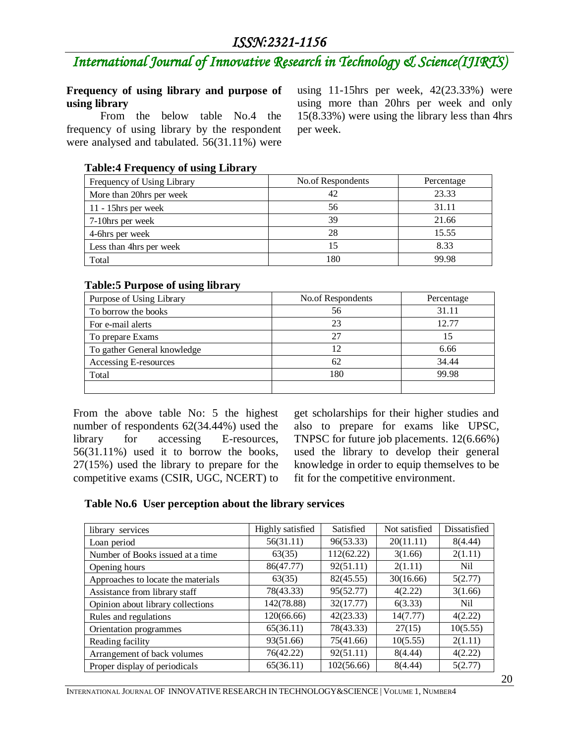# *International Journal of Innovative Research in Technology & Science(IJIRTS)*

### **Frequency of using library and purpose of using library**

From the below table No.4 the frequency of using library by the respondent were analysed and tabulated. 56(31.11%) were using 11-15hrs per week, 42(23.33%) were using more than 20hrs per week and only 15(8.33%) were using the library less than 4hrs per week.

### **Table:4 Frequency of using Library**

| Frequency of Using Library | No.of Respondents | Percentage |
|----------------------------|-------------------|------------|
| More than 20hrs per week   | 42                | 23.33      |
| $11 - 15$ hrs per week     | 56                | 31.11      |
| 7-10hrs per week           | 39                | 21.66      |
| 4-6hrs per week            | 28                | 15.55      |
| Less than 4hrs per week    |                   | 8.33       |
| Total                      | 180               | 99.98      |

### **Table:5 Purpose of using library**

| Purpose of Using Library    | No.of Respondents | Percentage |  |
|-----------------------------|-------------------|------------|--|
| To borrow the books         | 56                | 31.11      |  |
| For e-mail alerts           | 23                | 12.77      |  |
| To prepare Exams            | 27                | 15         |  |
| To gather General knowledge | 12                | 6.66       |  |
| Accessing E-resources       | 62                | 34.44      |  |
| Total                       | 180               | 99.98      |  |
|                             |                   |            |  |

From the above table No: 5 the highest number of respondents 62(34.44%) used the library for accessing E-resources, 56(31.11%) used it to borrow the books, 27(15%) used the library to prepare for the competitive exams (CSIR, UGC, NCERT) to

get scholarships for their higher studies and also to prepare for exams like UPSC, TNPSC for future job placements. 12(6.66%) used the library to develop their general knowledge in order to equip themselves to be fit for the competitive environment.

## **Table No.6 User perception about the library services**

| library services                   | Highly satisfied | Satisfied  | Not satisfied | Dissatisfied |
|------------------------------------|------------------|------------|---------------|--------------|
| Loan period                        | 56(31.11)        | 96(53.33)  | 20(11.11)     | 8(4.44)      |
| Number of Books issued at a time   | 63(35)           | 112(62.22) | 3(1.66)       | 2(1.11)      |
| Opening hours                      | 86(47.77)        | 92(51.11)  | 2(1.11)       | Nil          |
| Approaches to locate the materials | 63(35)           | 82(45.55)  | 30(16.66)     | 5(2.77)      |
| Assistance from library staff      | 78(43.33)        | 95(52.77)  | 4(2.22)       | 3(1.66)      |
| Opinion about library collections  | 142(78.88)       | 32(17.77)  | 6(3.33)       | Nil          |
| Rules and regulations              | 120(66.66)       | 42(23.33)  | 14(7.77)      | 4(2.22)      |
| Orientation programmes             | 65(36.11)        | 78(43.33)  | 27(15)        | 10(5.55)     |
| Reading facility                   | 93(51.66)        | 75(41.66)  | 10(5.55)      | 2(1.11)      |
| Arrangement of back volumes        | 76(42.22)        | 92(51.11)  | 8(4.44)       | 4(2.22)      |
| Proper display of periodicals      | 65(36.11)        | 102(56.66) | 8(4.44)       | 5(2.77)      |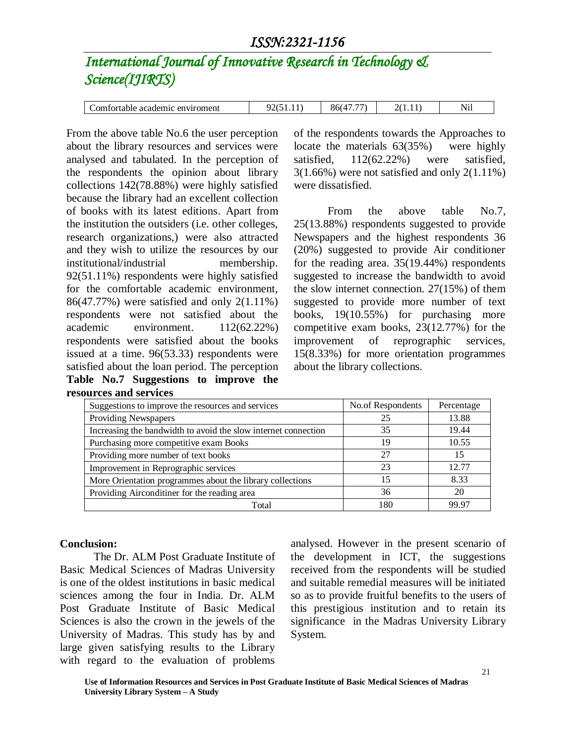# *International Journal of Innovative Research in Technology & Science(IJIRTS)*

| omfortable<br>viroment<br>academic<br>envir |  | $- -$<br>860 |  | $-$<br>N1<br>. 111 |
|---------------------------------------------|--|--------------|--|--------------------|
|---------------------------------------------|--|--------------|--|--------------------|

From the above table No.6 the user perception about the library resources and services were analysed and tabulated. In the perception of the respondents the opinion about library collections 142(78.88%) were highly satisfied because the library had an excellent collection of books with its latest editions. Apart from the institution the outsiders (i.e. other colleges, research organizations,) were also attracted and they wish to utilize the resources by our institutional/industrial membership. 92(51.11%) respondents were highly satisfied for the comfortable academic environment, 86(47.77%) were satisfied and only 2(1.11%) respondents were not satisfied about the academic environment. 112(62.22%) respondents were satisfied about the books issued at a time. 96(53.33) respondents were satisfied about the loan period. The perception **Table No.7 Suggestions to improve the resources and services**

of the respondents towards the Approaches to locate the materials 63(35%) were highly satisfied,  $112(62.22%)$  were satisfied,  $3(1.66\%)$  were not satisfied and only  $2(1.11\%)$ were dissatisfied.

From the above table No.7, 25(13.88%) respondents suggested to provide Newspapers and the highest respondents 36 (20%) suggested to provide Air conditioner for the reading area. 35(19.44%) respondents suggested to increase the bandwidth to avoid the slow internet connection. 27(15%) of them suggested to provide more number of text books, 19(10.55%) for purchasing more competitive exam books, 23(12.77%) for the improvement of reprographic services, 15(8.33%) for more orientation programmes about the library collections.

| Suggestions to improve the resources and services              | No.of Respondents | Percentage |
|----------------------------------------------------------------|-------------------|------------|
| Providing Newspapers                                           | 25                | 13.88      |
| Increasing the bandwidth to avoid the slow internet connection | 35                | 19.44      |
| Purchasing more competitive exam Books                         | 19                | 10.55      |
| Providing more number of text books                            | 27                | 15         |
| Improvement in Reprographic services                           | 23                | 12.77      |
| More Orientation programmes about the library collections      | 15                | 8.33       |
| Providing Airconditiner for the reading area                   | 36                | 20         |
| Total                                                          | 180               | 99.97      |

### **Conclusion:**

The Dr. ALM Post Graduate Institute of Basic Medical Sciences of Madras University is one of the oldest institutions in basic medical sciences among the four in India. Dr. ALM Post Graduate Institute of Basic Medical Sciences is also the crown in the jewels of the University of Madras. This study has by and large given satisfying results to the Library with regard to the evaluation of problems analysed. However in the present scenario of the development in ICT, the suggestions received from the respondents will be studied and suitable remedial measures will be initiated so as to provide fruitful benefits to the users of this prestigious institution and to retain its significance in the Madras University Library System.